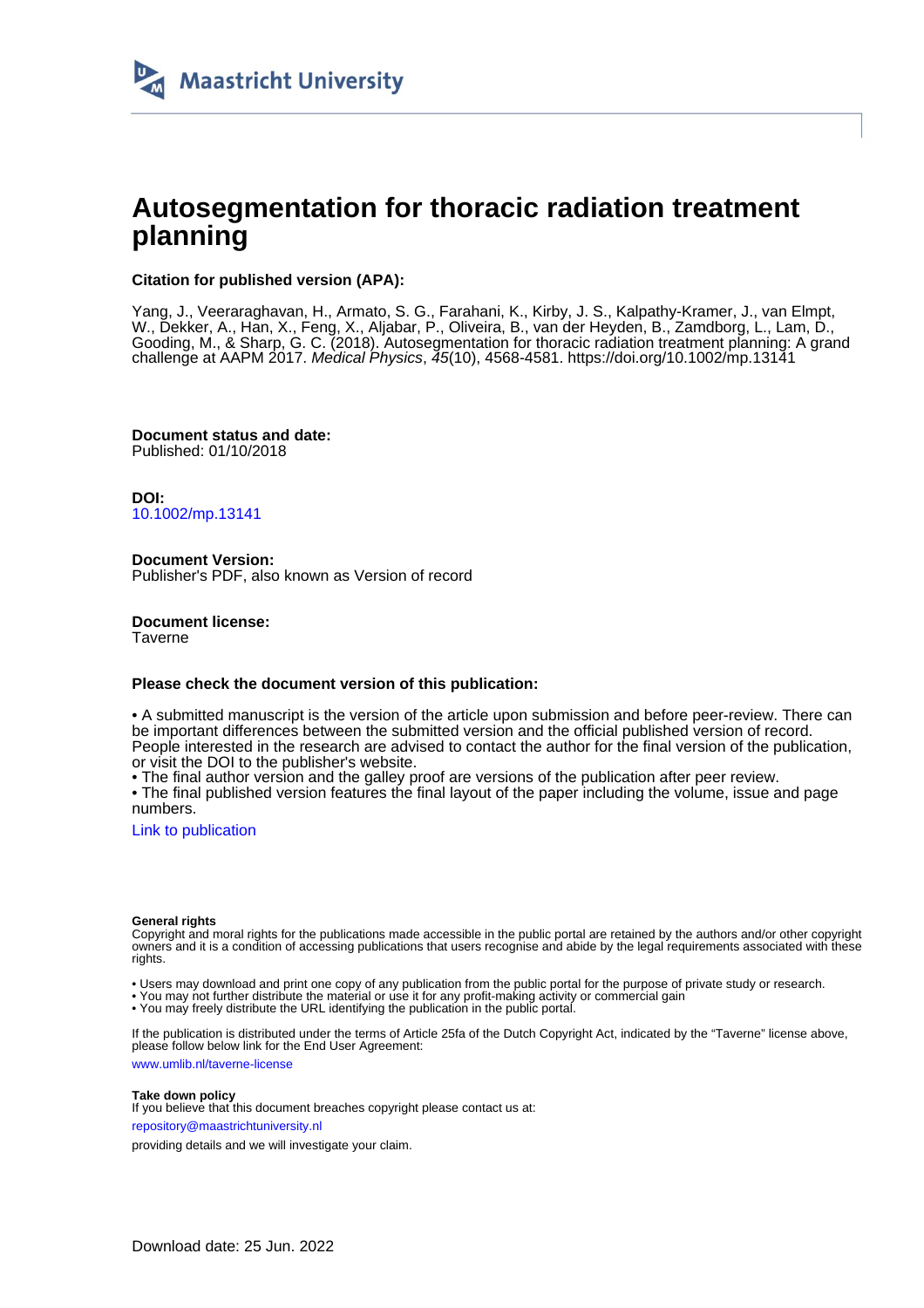

# **Autosegmentation for thoracic radiation treatment planning**

## **Citation for published version (APA):**

Yang, J., Veeraraghavan, H., Armato, S. G., Farahani, K., Kirby, J. S., Kalpathy-Kramer, J., van Elmpt, W., Dekker, A., Han, X., Feng, X., Aljabar, P., Oliveira, B., van der Heyden, B., Zamdborg, L., Lam, D., Gooding, M., & Sharp, G. C. (2018). Autosegmentation for thoracic radiation treatment planning: A grand challenge at AAPM 2017. Medical Physics, 45(10), 4568-4581. <https://doi.org/10.1002/mp.13141>

**Document status and date:** Published: 01/10/2018

**DOI:** [10.1002/mp.13141](https://doi.org/10.1002/mp.13141)

**Document Version:** Publisher's PDF, also known as Version of record

**Document license: Taverne** 

## **Please check the document version of this publication:**

• A submitted manuscript is the version of the article upon submission and before peer-review. There can be important differences between the submitted version and the official published version of record. People interested in the research are advised to contact the author for the final version of the publication, or visit the DOI to the publisher's website.

• The final author version and the galley proof are versions of the publication after peer review.

• The final published version features the final layout of the paper including the volume, issue and page numbers.

[Link to publication](https://cris.maastrichtuniversity.nl/en/publications/a8befffc-c6b9-4281-812a-a4fd229f10a4)

#### **General rights**

Copyright and moral rights for the publications made accessible in the public portal are retained by the authors and/or other copyright owners and it is a condition of accessing publications that users recognise and abide by the legal requirements associated with these rights.

• Users may download and print one copy of any publication from the public portal for the purpose of private study or research.

• You may not further distribute the material or use it for any profit-making activity or commercial gain

• You may freely distribute the URL identifying the publication in the public portal.

If the publication is distributed under the terms of Article 25fa of the Dutch Copyright Act, indicated by the "Taverne" license above, please follow below link for the End User Agreement:

www.umlib.nl/taverne-license

#### **Take down policy**

If you believe that this document breaches copyright please contact us at: repository@maastrichtuniversity.nl

providing details and we will investigate your claim.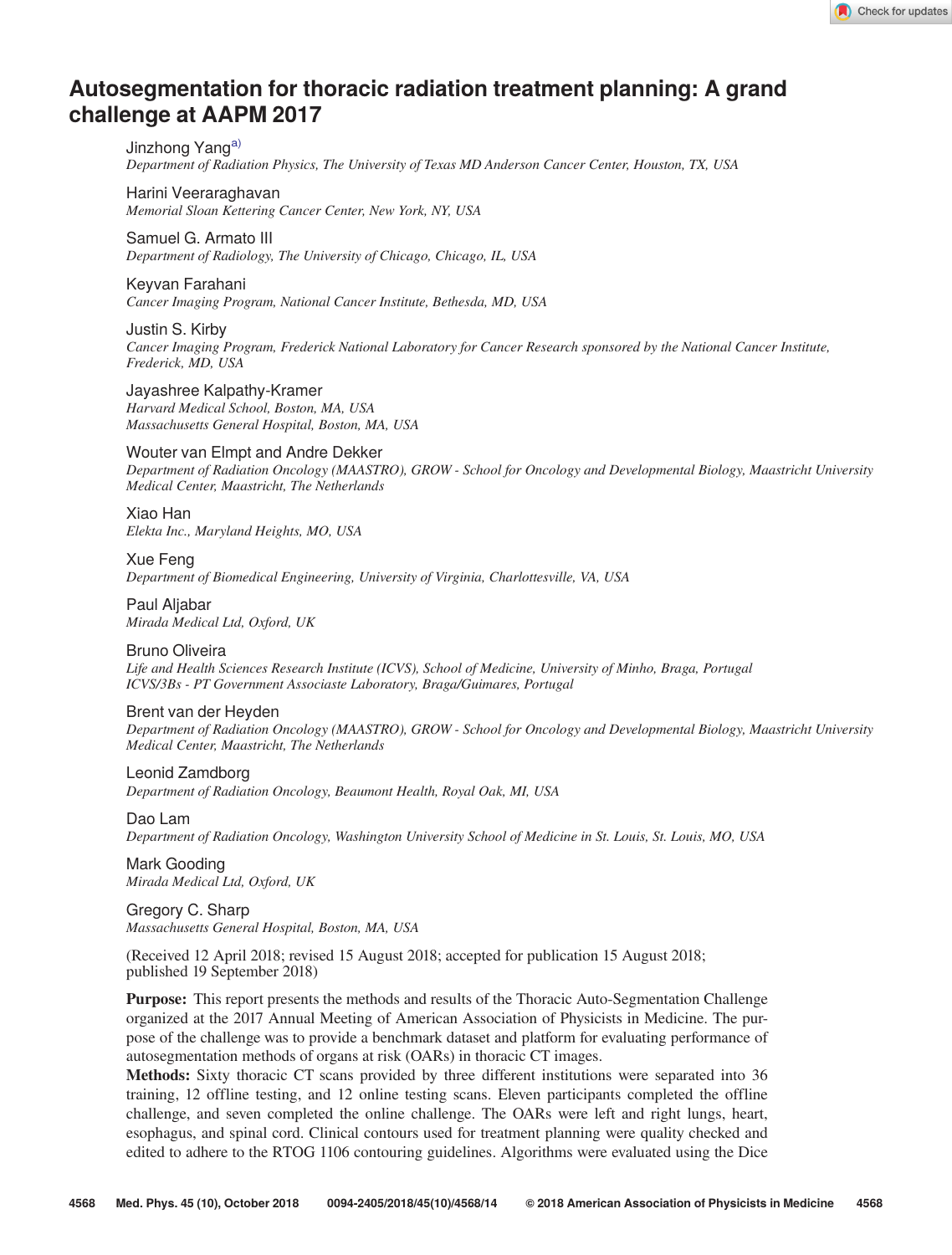## Autosegmentation for thoracic radiation treatment planning: A grand challenge at AAPM 2017

Jinzhong Yang<sup>[a\)](#page-14-0)</sup> Department of Radiation Physics, The University of Texas MD Anderson Cancer Center, Houston, TX, USA

Harini Veeraraghavan Memorial Sloan Kettering Cancer Center, New York, NY, USA

## Samuel G. Armato III

Department of Radiology, The University of Chicago, Chicago, IL, USA

## Keyvan Farahani

Cancer Imaging Program, National Cancer Institute, Bethesda, MD, USA

Justin S. Kirby Cancer Imaging Program, Frederick National Laboratory for Cancer Research sponsored by the National Cancer Institute, Frederick, MD, USA

Jayashree Kalpathy-Kramer Harvard Medical School, Boston, MA, USA Massachusetts General Hospital, Boston, MA, USA

## Wouter van Elmpt and Andre Dekker

Department of Radiation Oncology (MAASTRO), GROW - School for Oncology and Developmental Biology, Maastricht University Medical Center, Maastricht, The Netherlands

Xiao Han Elekta Inc., Maryland Heights, MO, USA

Xue Feng Department of Biomedical Engineering, University of Virginia, Charlottesville, VA, USA

Paul Aljabar Mirada Medical Ltd, Oxford, UK

## Bruno Oliveira

Life and Health Sciences Research Institute (ICVS), School of Medicine, University of Minho, Braga, Portugal ICVS/3Bs - PT Government Associaste Laboratory, Braga/Guimares, Portugal

## Brent van der Heyden

Department of Radiation Oncology (MAASTRO), GROW - School for Oncology and Developmental Biology, Maastricht University Medical Center, Maastricht, The Netherlands

Leonid Zamdborg Department of Radiation Oncology, Beaumont Health, Royal Oak, MI, USA

Dao Lam Department of Radiation Oncology, Washington University School of Medicine in St. Louis, St. Louis, MO, USA

Mark Gooding Mirada Medical Ltd, Oxford, UK

Gregory C. Sharp Massachusetts General Hospital, Boston, MA, USA

(Received 12 April 2018; revised 15 August 2018; accepted for publication 15 August 2018; published 19 September 2018)

Purpose: This report presents the methods and results of the Thoracic Auto-Segmentation Challenge organized at the 2017 Annual Meeting of American Association of Physicists in Medicine. The purpose of the challenge was to provide a benchmark dataset and platform for evaluating performance of autosegmentation methods of organs at risk (OARs) in thoracic CT images.

Methods: Sixty thoracic CT scans provided by three different institutions were separated into 36 training, 12 offline testing, and 12 online testing scans. Eleven participants completed the offline challenge, and seven completed the online challenge. The OARs were left and right lungs, heart, esophagus, and spinal cord. Clinical contours used for treatment planning were quality checked and edited to adhere to the RTOG 1106 contouring guidelines. Algorithms were evaluated using the Dice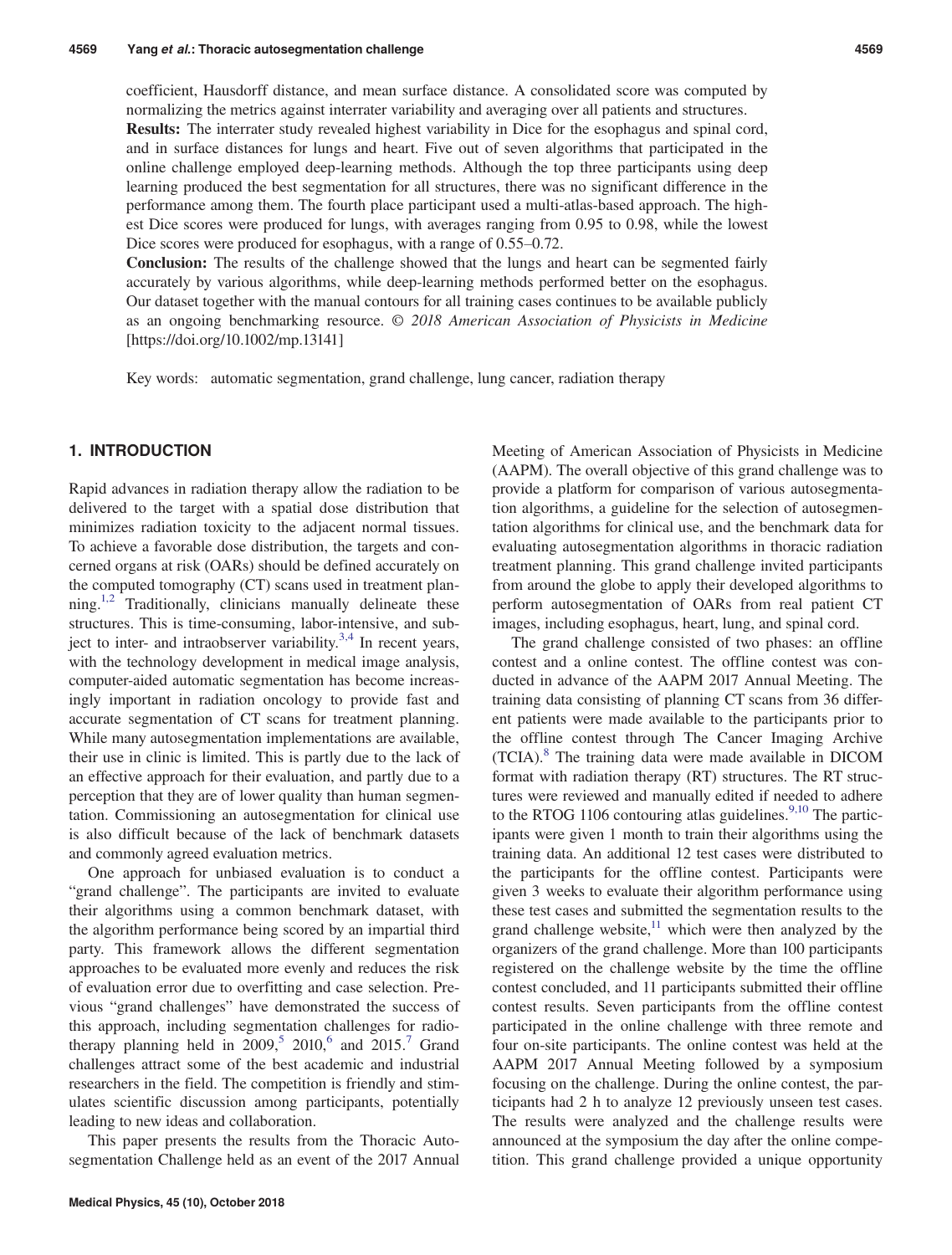coefficient, Hausdorff distance, and mean surface distance. A consolidated score was computed by normalizing the metrics against interrater variability and averaging over all patients and structures. Results: The interrater study revealed highest variability in Dice for the esophagus and spinal cord, and in surface distances for lungs and heart. Five out of seven algorithms that participated in the online challenge employed deep-learning methods. Although the top three participants using deep learning produced the best segmentation for all structures, there was no significant difference in the performance among them. The fourth place participant used a multi-atlas-based approach. The highest Dice scores were produced for lungs, with averages ranging from 0.95 to 0.98, while the lowest Dice scores were produced for esophagus, with a range of 0.55–0.72.

Conclusion: The results of the challenge showed that the lungs and heart can be segmented fairly accurately by various algorithms, while deep-learning methods performed better on the esophagus. Our dataset together with the manual contours for all training cases continues to be available publicly as an ongoing benchmarking resource. © 2018 American Association of Physicists in Medicine [\[https://doi.org/10.1002/mp.13141\]](https://doi.org/10.1002/mp.13141)

Key words: automatic segmentation, grand challenge, lung cancer, radiation therapy

## 1. INTRODUCTION

Rapid advances in radiation therapy allow the radiation to be delivered to the target with a spatial dose distribution that minimizes radiation toxicity to the adjacent normal tissues. To achieve a favorable dose distribution, the targets and concerned organs at risk (OARs) should be defined accurately on the computed tomography (CT) scans used in treatment planning.<sup>1,2</sup> Traditionally, clinicians manually delineate these structures. This is time-consuming, labor-intensive, and subject to inter- and intraobserver variability. $3,4$  In recent years, with the technology development in medical image analysis, computer-aided automatic segmentation has become increasingly important in radiation oncology to provide fast and accurate segmentation of CT scans for treatment planning. While many autosegmentation implementations are available, their use in clinic is limited. This is partly due to the lack of an effective approach for their evaluation, and partly due to a perception that they are of lower quality than human segmentation. Commissioning an autosegmentation for clinical use is also difficult because of the lack of benchmark datasets and commonly agreed evaluation metrics.

One approach for unbiased evaluation is to conduct a "grand challenge". The participants are invited to evaluate their algorithms using a common benchmark dataset, with the algorithm performance being scored by an impartial third party. This framework allows the different segmentation approaches to be evaluated more evenly and reduces the risk of evaluation error due to overfitting and case selection. Previous "grand challenges" have demonstrated the success of this approach, including segmentation challenges for radiotherapy planning held in  $2009<sup>5</sup>$  $2009<sup>5</sup>$  $2009<sup>5</sup>$ , 2010<sup>[6](#page-14-0)</sup> and 2015<sup>[7](#page-14-0)</sup> Grand challenges attract some of the best academic and industrial researchers in the field. The competition is friendly and stimulates scientific discussion among participants, potentially leading to new ideas and collaboration.

This paper presents the results from the Thoracic Autosegmentation Challenge held as an event of the 2017 Annual Meeting of American Association of Physicists in Medicine (AAPM). The overall objective of this grand challenge was to provide a platform for comparison of various autosegmentation algorithms, a guideline for the selection of autosegmentation algorithms for clinical use, and the benchmark data for evaluating autosegmentation algorithms in thoracic radiation treatment planning. This grand challenge invited participants from around the globe to apply their developed algorithms to perform autosegmentation of OARs from real patient CT images, including esophagus, heart, lung, and spinal cord.

The grand challenge consisted of two phases: an offline contest and a online contest. The offline contest was conducted in advance of the AAPM 2017 Annual Meeting. The training data consisting of planning CT scans from 36 different patients were made available to the participants prior to the offline contest through The Cancer Imaging Archive (TCIA).[8](#page-14-0) The training data were made available in DICOM format with radiation therapy (RT) structures. The RT structures were reviewed and manually edited if needed to adhere to the RTOG 1106 contouring atlas guidelines.<sup>[9,10](#page-14-0)</sup> The participants were given 1 month to train their algorithms using the training data. An additional 12 test cases were distributed to the participants for the offline contest. Participants were given 3 weeks to evaluate their algorithm performance using these test cases and submitted the segmentation results to the grand challenge website, $11$  which were then analyzed by the organizers of the grand challenge. More than 100 participants registered on the challenge website by the time the offline contest concluded, and 11 participants submitted their offline contest results. Seven participants from the offline contest participated in the online challenge with three remote and four on-site participants. The online contest was held at the AAPM 2017 Annual Meeting followed by a symposium focusing on the challenge. During the online contest, the participants had 2 h to analyze 12 previously unseen test cases. The results were analyzed and the challenge results were announced at the symposium the day after the online competition. This grand challenge provided a unique opportunity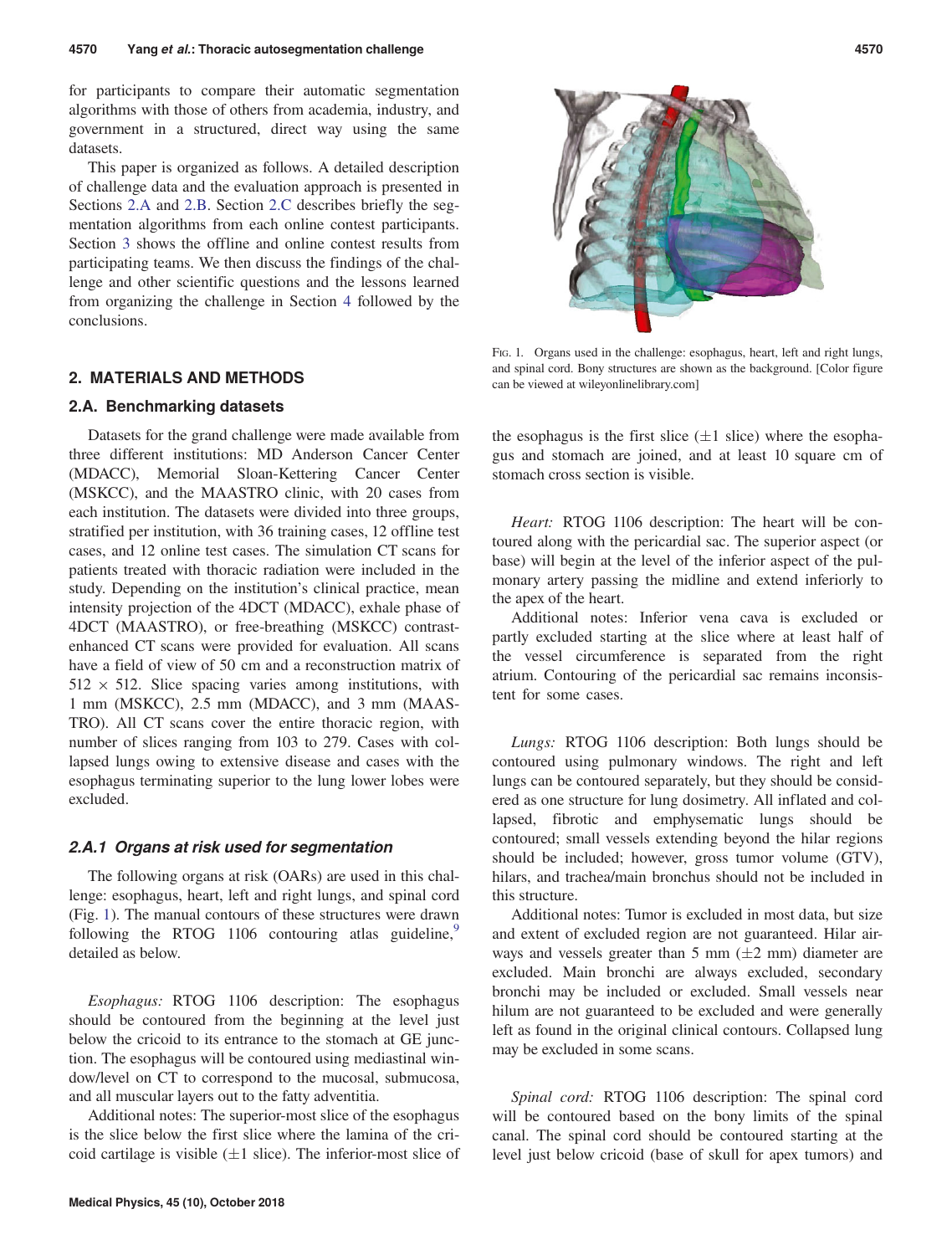for participants to compare their automatic segmentation algorithms with those of others from academia, industry, and government in a structured, direct way using the same datasets.

This paper is organized as follows. A detailed description of challenge data and the evaluation approach is presented in Sections 2.A and [2.B](#page-4-0). Section [2.C](#page-5-0) describes briefly the segmentation algorithms from each online contest participants. Section [3](#page-7-0) shows the offline and online contest results from participating teams. We then discuss the findings of the challenge and other scientific questions and the lessons learned from organizing the challenge in Section [4](#page-8-0) followed by the conclusions.

## 2. MATERIALS AND METHODS

#### 2.A. Benchmarking datasets

Datasets for the grand challenge were made available from three different institutions: MD Anderson Cancer Center (MDACC), Memorial Sloan-Kettering Cancer Center (MSKCC), and the MAASTRO clinic, with 20 cases from each institution. The datasets were divided into three groups, stratified per institution, with 36 training cases, 12 offline test cases, and 12 online test cases. The simulation CT scans for patients treated with thoracic radiation were included in the study. Depending on the institution's clinical practice, mean intensity projection of the 4DCT (MDACC), exhale phase of 4DCT (MAASTRO), or free-breathing (MSKCC) contrastenhanced CT scans were provided for evaluation. All scans have a field of view of 50 cm and a reconstruction matrix of  $512 \times 512$ . Slice spacing varies among institutions, with 1 mm (MSKCC), 2.5 mm (MDACC), and 3 mm (MAAS-TRO). All CT scans cover the entire thoracic region, with number of slices ranging from 103 to 279. Cases with collapsed lungs owing to extensive disease and cases with the esophagus terminating superior to the lung lower lobes were excluded.

## 2.A.1 Organs at risk used for segmentation

The following organs at risk (OARs) are used in this challenge: esophagus, heart, left and right lungs, and spinal cord (Fig. 1). The manual contours of these structures were drawn following the RTOG 1106 contouring atlas guideline, $9$ detailed as below.

Esophagus: RTOG 1106 description: The esophagus should be contoured from the beginning at the level just below the cricoid to its entrance to the stomach at GE junction. The esophagus will be contoured using mediastinal window/level on CT to correspond to the mucosal, submucosa, and all muscular layers out to the fatty adventitia.

Additional notes: The superior-most slice of the esophagus is the slice below the first slice where the lamina of the cricoid cartilage is visible  $(\pm 1$  slice). The inferior-most slice of



FIG. 1. Organs used in the challenge: esophagus, heart, left and right lungs, and spinal cord. Bony structures are shown as the background. [Color figure can be viewed at [wileyonlinelibrary.com\]](www.wileyonlinelibrary.com)

the esophagus is the first slice  $(\pm 1$  slice) where the esophagus and stomach are joined, and at least 10 square cm of stomach cross section is visible.

Heart: RTOG 1106 description: The heart will be contoured along with the pericardial sac. The superior aspect (or base) will begin at the level of the inferior aspect of the pulmonary artery passing the midline and extend inferiorly to the apex of the heart.

Additional notes: Inferior vena cava is excluded or partly excluded starting at the slice where at least half of the vessel circumference is separated from the right atrium. Contouring of the pericardial sac remains inconsistent for some cases.

Lungs: RTOG 1106 description: Both lungs should be contoured using pulmonary windows. The right and left lungs can be contoured separately, but they should be considered as one structure for lung dosimetry. All inflated and collapsed, fibrotic and emphysematic lungs should be contoured; small vessels extending beyond the hilar regions should be included; however, gross tumor volume (GTV), hilars, and trachea/main bronchus should not be included in this structure.

Additional notes: Tumor is excluded in most data, but size and extent of excluded region are not guaranteed. Hilar airways and vessels greater than 5 mm  $(\pm 2 \text{ mm})$  diameter are excluded. Main bronchi are always excluded, secondary bronchi may be included or excluded. Small vessels near hilum are not guaranteed to be excluded and were generally left as found in the original clinical contours. Collapsed lung may be excluded in some scans.

Spinal cord: RTOG 1106 description: The spinal cord will be contoured based on the bony limits of the spinal canal. The spinal cord should be contoured starting at the level just below cricoid (base of skull for apex tumors) and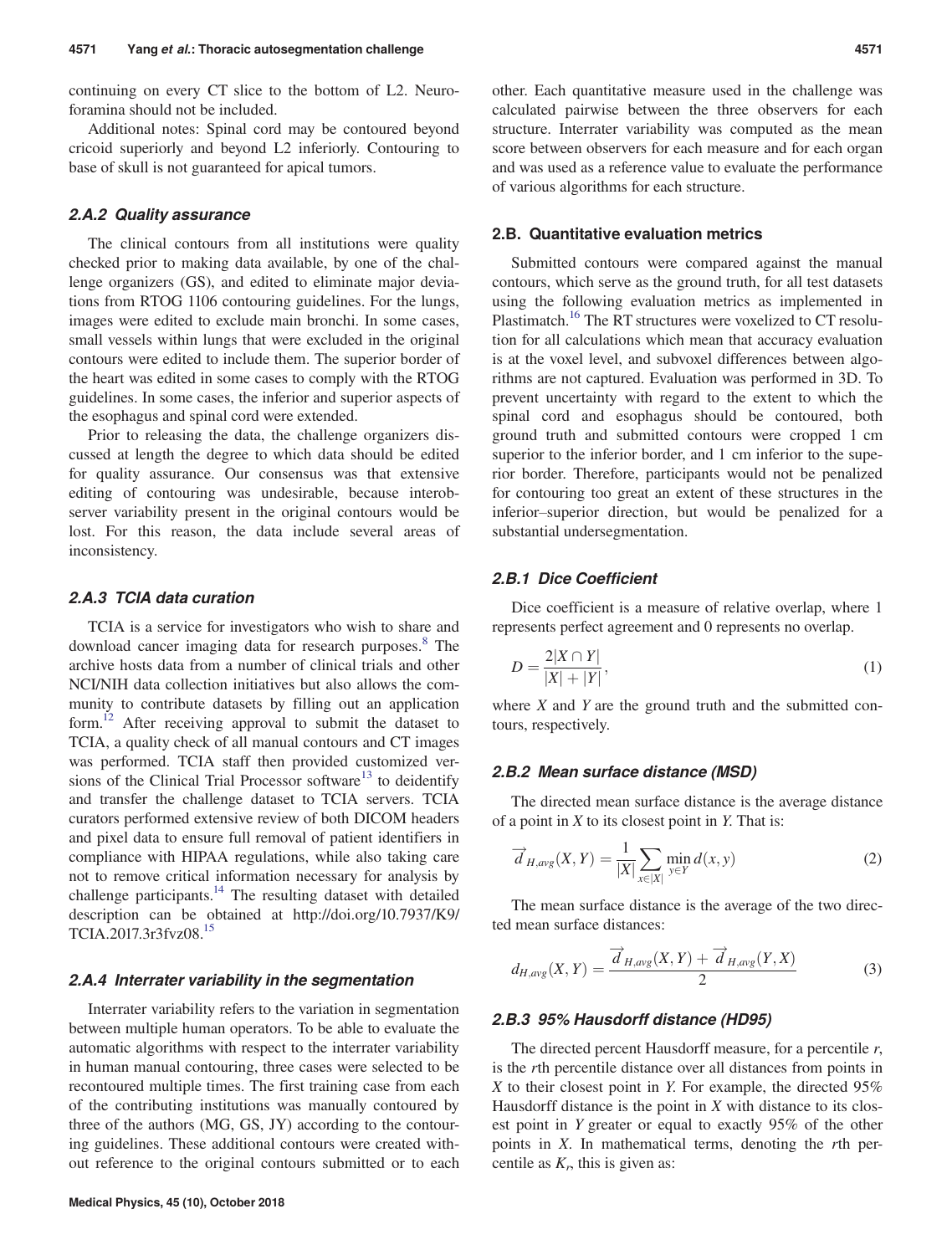<span id="page-4-0"></span>continuing on every CT slice to the bottom of L2. Neuroforamina should not be included.

Additional notes: Spinal cord may be contoured beyond cricoid superiorly and beyond L2 inferiorly. Contouring to base of skull is not guaranteed for apical tumors.

#### 2.A.2 Quality assurance

The clinical contours from all institutions were quality checked prior to making data available, by one of the challenge organizers (GS), and edited to eliminate major deviations from RTOG 1106 contouring guidelines. For the lungs, images were edited to exclude main bronchi. In some cases, small vessels within lungs that were excluded in the original contours were edited to include them. The superior border of the heart was edited in some cases to comply with the RTOG guidelines. In some cases, the inferior and superior aspects of the esophagus and spinal cord were extended.

Prior to releasing the data, the challenge organizers discussed at length the degree to which data should be edited for quality assurance. Our consensus was that extensive editing of contouring was undesirable, because interobserver variability present in the original contours would be lost. For this reason, the data include several areas of inconsistency.

#### 2.A.3 TCIA data curation

TCIA is a service for investigators who wish to share and download cancer imaging data for research purposes.<sup>[8](#page-14-0)</sup> The archive hosts data from a number of clinical trials and other NCI/NIH data collection initiatives but also allows the community to contribute datasets by filling out an application form.<sup>12</sup> After receiving approval to submit the dataset to TCIA, a quality check of all manual contours and CT images was performed. TCIA staff then provided customized versions of the Clinical Trial Processor software $13$  to deidentify and transfer the challenge dataset to TCIA servers. TCIA curators performed extensive review of both DICOM headers and pixel data to ensure full removal of patient identifiers in compliance with HIPAA regulations, while also taking care not to remove critical information necessary for analysis by challenge participants[.14](#page-14-0) The resulting dataset with detailed description can be obtained at [http://doi.org/10.7937/K9/](http://doi.org/10.7937/K9/TCIA.2017.3r3fvz08) [TCIA.2017.3r3fvz08.](http://doi.org/10.7937/K9/TCIA.2017.3r3fvz08)[15](#page-14-0)

## 2.A.4 Interrater variability in the segmentation

Interrater variability refers to the variation in segmentation between multiple human operators. To be able to evaluate the automatic algorithms with respect to the interrater variability in human manual contouring, three cases were selected to be recontoured multiple times. The first training case from each of the contributing institutions was manually contoured by three of the authors (MG, GS, JY) according to the contouring guidelines. These additional contours were created without reference to the original contours submitted or to each

other. Each quantitative measure used in the challenge was calculated pairwise between the three observers for each structure. Interrater variability was computed as the mean score between observers for each measure and for each organ and was used as a reference value to evaluate the performance of various algorithms for each structure.

#### 2.B. Quantitative evaluation metrics

Submitted contours were compared against the manual contours, which serve as the ground truth, for all test datasets using the following evaluation metrics as implemented in Plastimatch.<sup>16</sup> The RT structures were voxelized to CT resolution for all calculations which mean that accuracy evaluation is at the voxel level, and subvoxel differences between algorithms are not captured. Evaluation was performed in 3D. To prevent uncertainty with regard to the extent to which the spinal cord and esophagus should be contoured, both ground truth and submitted contours were cropped 1 cm superior to the inferior border, and 1 cm inferior to the superior border. Therefore, participants would not be penalized for contouring too great an extent of these structures in the inferior–superior direction, but would be penalized for a substantial undersegmentation.

## 2.B.1 Dice Coefficient

Dice coefficient is a measure of relative overlap, where 1 represents perfect agreement and 0 represents no overlap.

$$
D = \frac{2|X \cap Y|}{|X| + |Y|},\tag{1}
$$

where  $X$  and  $Y$  are the ground truth and the submitted contours, respectively.

#### 2.B.2 Mean surface distance (MSD)

The directed mean surface distance is the average distance of a point in  $X$  to its closest point in  $Y$ . That is:

$$
\overrightarrow{d}_{H,avg}(X,Y) = \frac{1}{|X|} \sum_{x \in |X|} \min_{y \in Y} d(x,y)
$$
 (2)

The mean surface distance is the average of the two directed mean surface distances:

$$
d_{H,avg}(X,Y) = \frac{\overrightarrow{d}_{H,avg}(X,Y) + \overrightarrow{d}_{H,avg}(Y,X)}{2}
$$
\n(3)

#### 2.B.3 95% Hausdorff distance (HD95)

The directed percent Hausdorff measure, for a percentile  $r$ , is the rth percentile distance over all distances from points in  $X$  to their closest point in Y. For example, the directed  $95\%$ Hausdorff distance is the point in  $X$  with distance to its closest point in Y greater or equal to exactly 95% of the other points in X. In mathematical terms, denoting the rth percentile as  $K<sub>r</sub>$ , this is given as: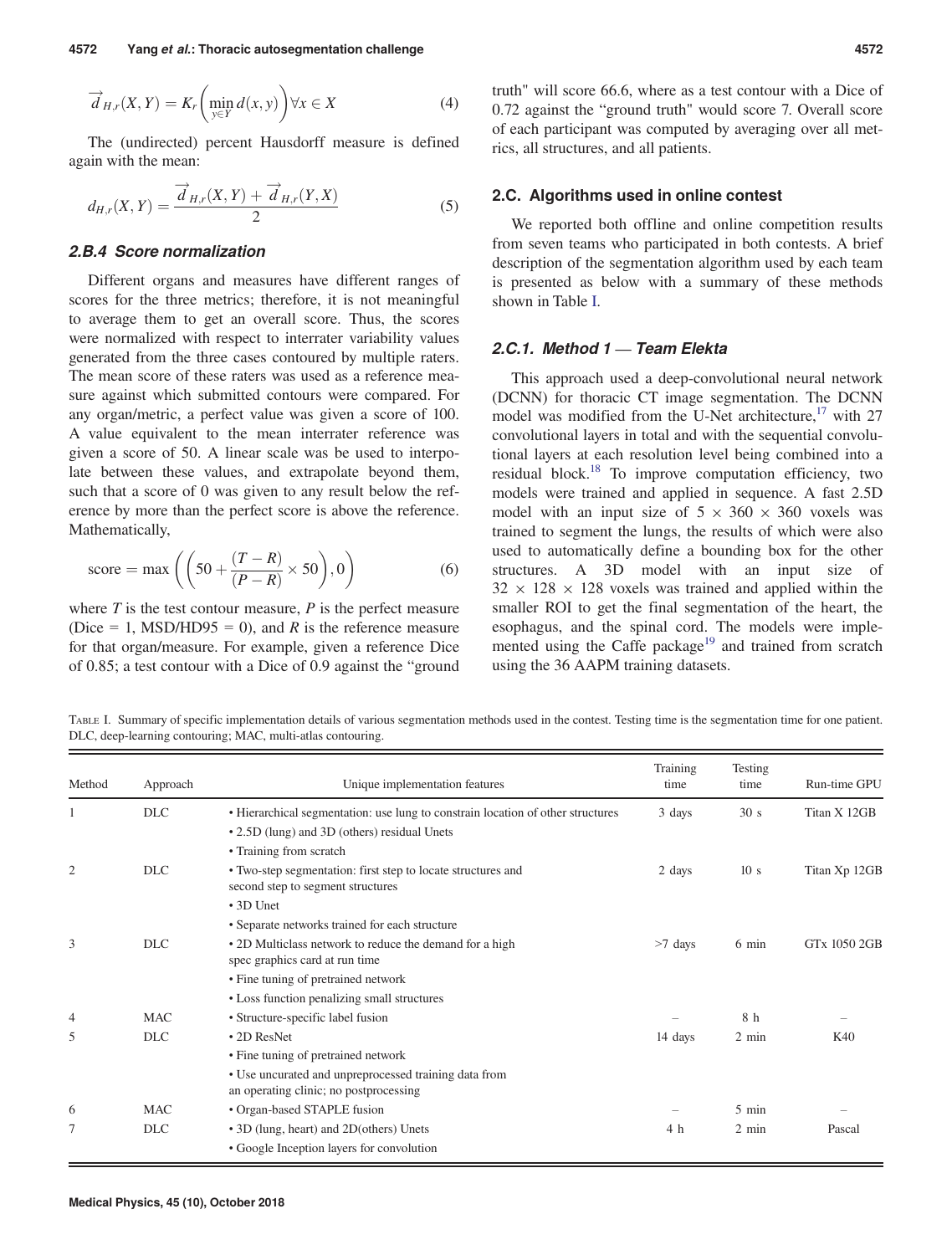<span id="page-5-0"></span>
$$
\overrightarrow{d}_{H,r}(X,Y) = K_r \left( \min_{y \in Y} d(x,y) \right) \forall x \in X
$$
 (4)

The (undirected) percent Hausdorff measure is defined again with the mean:

$$
d_{H,r}(X,Y) = \frac{\overrightarrow{d}_{H,r}(X,Y) + \overrightarrow{d}_{H,r}(Y,X)}{2}
$$
\n<sup>(5)</sup>

## 2.B.4 Score normalization

Different organs and measures have different ranges of scores for the three metrics; therefore, it is not meaningful to average them to get an overall score. Thus, the scores were normalized with respect to interrater variability values generated from the three cases contoured by multiple raters. The mean score of these raters was used as a reference measure against which submitted contours were compared. For any organ/metric, a perfect value was given a score of 100. A value equivalent to the mean interrater reference was given a score of 50. A linear scale was be used to interpolate between these values, and extrapolate beyond them, such that a score of 0 was given to any result below the reference by more than the perfect score is above the reference. Mathematically,

score = max 
$$
\left( \left( 50 + \frac{(T - R)}{(P - R)} \times 50 \right), 0 \right)
$$
 (6)

where  $T$  is the test contour measure,  $P$  is the perfect measure (Dice = 1, MSD/HD95 = 0), and R is the reference measure for that organ/measure. For example, given a reference Dice of 0.85; a test contour with a Dice of 0.9 against the "ground truth" will score 66.6, where as a test contour with a Dice of 0.72 against the "ground truth" would score 7. Overall score of each participant was computed by averaging over all metrics, all structures, and all patients.

#### 2.C. Algorithms used in online contest

We reported both offline and online competition results from seven teams who participated in both contests. A brief description of the segmentation algorithm used by each team is presented as below with a summary of these methods shown in Table I.

## 2.C.1. Method 1 - Team Elekta

This approach used a deep-convolutional neural network (DCNN) for thoracic CT image segmentation. The DCNN model was modified from the U-Net architecture, $17$  with 27 convolutional layers in total and with the sequential convolutional layers at each resolution level being combined into a residual block.<sup>18</sup> To improve computation efficiency, two models were trained and applied in sequence. A fast 2.5D model with an input size of  $5 \times 360 \times 360$  voxels was trained to segment the lungs, the results of which were also used to automatically define a bounding box for the other structures. A 3D model with an input size of  $32 \times 128 \times 128$  voxels was trained and applied within the smaller ROI to get the final segmentation of the heart, the esophagus, and the spinal cord. The models were implemented using the Caffe package $19$  and trained from scratch using the 36 AAPM training datasets.

TABLE I. Summary of specific implementation details of various segmentation methods used in the contest. Testing time is the segmentation time for one patient. DLC, deep-learning contouring; MAC, multi-atlas contouring.

| Method | Approach   | Unique implementation features                                                                                                  | Training<br>time | Testing<br>time | Run-time GPU  |
|--------|------------|---------------------------------------------------------------------------------------------------------------------------------|------------------|-----------------|---------------|
|        | <b>DLC</b> | • Hierarchical segmentation: use lung to constrain location of other structures<br>• 2.5D (lung) and 3D (others) residual Unets | 3 days           | 30 s            | Titan X 12GB  |
|        |            | • Training from scratch                                                                                                         |                  |                 |               |
| 2      | <b>DLC</b> | • Two-step segmentation: first step to locate structures and<br>second step to segment structures<br>• 3D Unet                  | 2 days           | 10 <sub>s</sub> | Titan Xp 12GB |
|        |            | • Separate networks trained for each structure                                                                                  |                  |                 |               |
| 3      | <b>DLC</b> | • 2D Multiclass network to reduce the demand for a high<br>spec graphics card at run time                                       | $>7$ days        | 6 min           | GTx 1050 2GB  |
|        |            | • Fine tuning of pretrained network                                                                                             |                  |                 |               |
|        |            | • Loss function penalizing small structures                                                                                     |                  |                 |               |
| 4      | <b>MAC</b> | • Structure-specific label fusion                                                                                               |                  | 8 h             |               |
| 5      | <b>DLC</b> | • 2D ResNet                                                                                                                     | 14 days          | $2 \text{ min}$ | K40           |
|        |            | • Fine tuning of pretrained network                                                                                             |                  |                 |               |
|        |            | • Use uncurated and unpreprocessed training data from<br>an operating clinic; no postprocessing                                 |                  |                 |               |
| 6      | <b>MAC</b> | • Organ-based STAPLE fusion                                                                                                     |                  | $5 \text{ min}$ |               |
| 7      | <b>DLC</b> | • 3D (lung, heart) and 2D(others) Unets<br>• Google Inception layers for convolution                                            | 4 h              | $2 \text{ min}$ | Pascal        |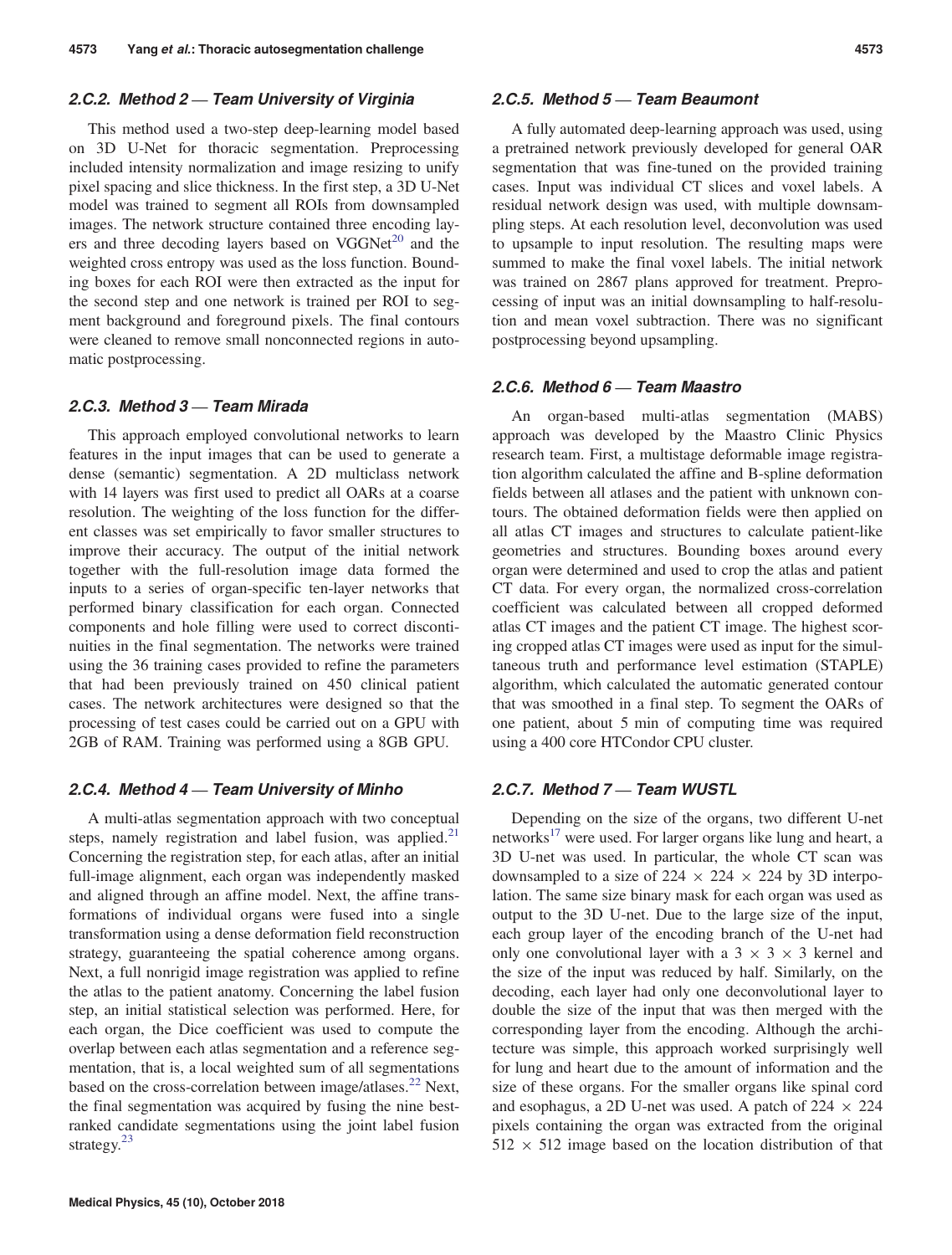#### 2.C.2. Method 2 - Team University of Virginia

This method used a two-step deep-learning model based on 3D U-Net for thoracic segmentation. Preprocessing included intensity normalization and image resizing to unify pixel spacing and slice thickness. In the first step, a 3D U-Net model was trained to segment all ROIs from downsampled images. The network structure contained three encoding layers and three decoding layers based on  $VGGNet<sup>20</sup>$  $VGGNet<sup>20</sup>$  $VGGNet<sup>20</sup>$  and the weighted cross entropy was used as the loss function. Bounding boxes for each ROI were then extracted as the input for the second step and one network is trained per ROI to segment background and foreground pixels. The final contours were cleaned to remove small nonconnected regions in automatic postprocessing.

#### 2.C.3. Method 3 — Team Mirada

This approach employed convolutional networks to learn features in the input images that can be used to generate a dense (semantic) segmentation. A 2D multiclass network with 14 layers was first used to predict all OARs at a coarse resolution. The weighting of the loss function for the different classes was set empirically to favor smaller structures to improve their accuracy. The output of the initial network together with the full-resolution image data formed the inputs to a series of organ-specific ten-layer networks that performed binary classification for each organ. Connected components and hole filling were used to correct discontinuities in the final segmentation. The networks were trained using the 36 training cases provided to refine the parameters that had been previously trained on 450 clinical patient cases. The network architectures were designed so that the processing of test cases could be carried out on a GPU with 2GB of RAM. Training was performed using a 8GB GPU.

#### 2.C.4. Method 4 — Team University of Minho

A multi-atlas segmentation approach with two conceptual steps, namely registration and label fusion, was applied. $21$ Concerning the registration step, for each atlas, after an initial full-image alignment, each organ was independently masked and aligned through an affine model. Next, the affine transformations of individual organs were fused into a single transformation using a dense deformation field reconstruction strategy, guaranteeing the spatial coherence among organs. Next, a full nonrigid image registration was applied to refine the atlas to the patient anatomy. Concerning the label fusion step, an initial statistical selection was performed. Here, for each organ, the Dice coefficient was used to compute the overlap between each atlas segmentation and a reference segmentation, that is, a local weighted sum of all segmentations based on the cross-correlation between image/atlases.<sup>[22](#page-14-0)</sup> Next, the final segmentation was acquired by fusing the nine bestranked candidate segmentations using the joint label fusion strategy. $^{23}$  $^{23}$  $^{23}$ 

#### 2.C.5. Method 5 — Team Beaumont

A fully automated deep-learning approach was used, using a pretrained network previously developed for general OAR segmentation that was fine-tuned on the provided training cases. Input was individual CT slices and voxel labels. A residual network design was used, with multiple downsampling steps. At each resolution level, deconvolution was used to upsample to input resolution. The resulting maps were summed to make the final voxel labels. The initial network was trained on 2867 plans approved for treatment. Preprocessing of input was an initial downsampling to half-resolution and mean voxel subtraction. There was no significant postprocessing beyond upsampling.

#### 2.C.6. Method 6 — Team Maastro

An organ-based multi-atlas segmentation (MABS) approach was developed by the Maastro Clinic Physics research team. First, a multistage deformable image registration algorithm calculated the affine and B-spline deformation fields between all atlases and the patient with unknown contours. The obtained deformation fields were then applied on all atlas CT images and structures to calculate patient-like geometries and structures. Bounding boxes around every organ were determined and used to crop the atlas and patient CT data. For every organ, the normalized cross-correlation coefficient was calculated between all cropped deformed atlas CT images and the patient CT image. The highest scoring cropped atlas CT images were used as input for the simultaneous truth and performance level estimation (STAPLE) algorithm, which calculated the automatic generated contour that was smoothed in a final step. To segment the OARs of one patient, about 5 min of computing time was required using a 400 core HTCondor CPU cluster.

## 2.C.7. Method 7 — Team WUSTL

Depending on the size of the organs, two different U-net networks<sup>[17](#page-14-0)</sup> were used. For larger organs like lung and heart, a 3D U-net was used. In particular, the whole CT scan was downsampled to a size of 224  $\times$  224  $\times$  224 by 3D interpolation. The same size binary mask for each organ was used as output to the 3D U-net. Due to the large size of the input, each group layer of the encoding branch of the U-net had only one convolutional layer with a  $3 \times 3 \times 3$  kernel and the size of the input was reduced by half. Similarly, on the decoding, each layer had only one deconvolutional layer to double the size of the input that was then merged with the corresponding layer from the encoding. Although the architecture was simple, this approach worked surprisingly well for lung and heart due to the amount of information and the size of these organs. For the smaller organs like spinal cord and esophagus, a 2D U-net was used. A patch of  $224 \times 224$ pixels containing the organ was extracted from the original  $512 \times 512$  image based on the location distribution of that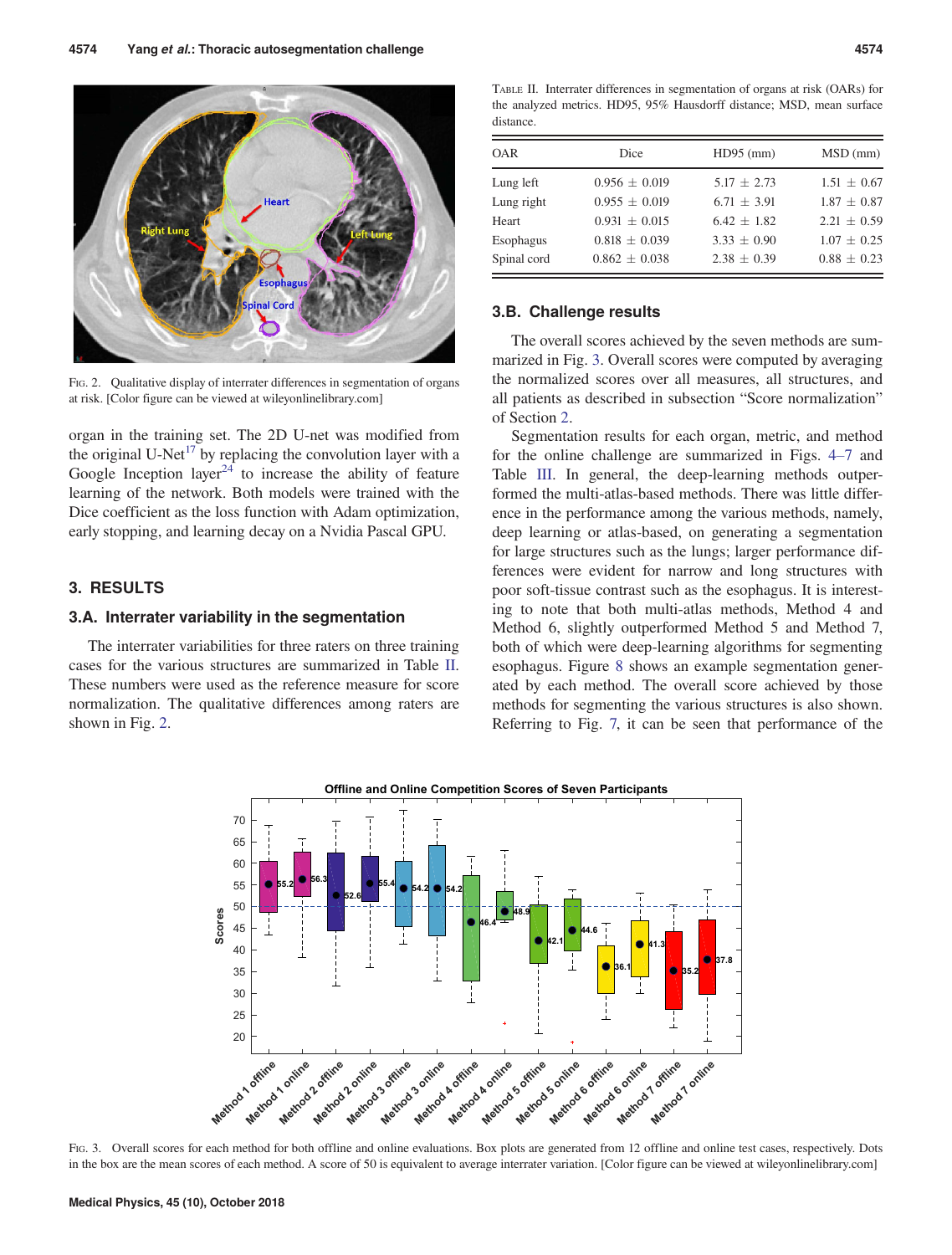<span id="page-7-0"></span>

FIG. 2. Qualitative display of interrater differences in segmentation of organs at risk. [Color figure can be viewed at [wileyonlinelibrary.com](www.wileyonlinelibrary.com)]

organ in the training set. The 2D U-net was modified from the original U-Net<sup>17</sup> by replacing the convolution layer with a Google Inception layer<sup>[24](#page-14-0)</sup> to increase the ability of feature learning of the network. Both models were trained with the Dice coefficient as the loss function with Adam optimization, early stopping, and learning decay on a Nvidia Pascal GPU.

## 3. RESULTS

#### 3.A. Interrater variability in the segmentation

The interrater variabilities for three raters on three training cases for the various structures are summarized in Table II. These numbers were used as the reference measure for score normalization. The qualitative differences among raters are shown in Fig. 2.

TABLE II. Interrater differences in segmentation of organs at risk (OARs) for the analyzed metrics. HD95, 95% Hausdorff distance; MSD, mean surface distance.

| <b>OAR</b>  | Dice              | $HD95$ (mm)     | $MSD$ (mm)      |
|-------------|-------------------|-----------------|-----------------|
| Lung left   | $0.956 \pm 0.019$ | $5.17 \pm 2.73$ | $1.51 \pm 0.67$ |
| Lung right  | $0.955 \pm 0.019$ | $6.71 \pm 3.91$ | $1.87 \pm 0.87$ |
| Heart       | $0.931 \pm 0.015$ | $6.42 + 1.82$   | $2.21 \pm 0.59$ |
| Esophagus   | $0.818 \pm 0.039$ | $3.33 \pm 0.90$ | $1.07 + 0.25$   |
| Spinal cord | $0.862 \pm 0.038$ | $2.38 \pm 0.39$ | $0.88 \pm 0.23$ |

#### 3.B. Challenge results

The overall scores achieved by the seven methods are summarized in Fig. 3. Overall scores were computed by averaging the normalized scores over all measures, all structures, and all patients as described in subsection "Score normalization" of Section [2.](#page-4-0)

Segmentation results for each organ, metric, and method for the online challenge are summarized in Figs. [4](#page-8-0)–[7](#page-8-0) and Table [III.](#page-11-0) In general, the deep-learning methods outperformed the multi-atlas-based methods. There was little difference in the performance among the various methods, namely, deep learning or atlas-based, on generating a segmentation for large structures such as the lungs; larger performance differences were evident for narrow and long structures with poor soft-tissue contrast such as the esophagus. It is interesting to note that both multi-atlas methods, Method 4 and Method 6, slightly outperformed Method 5 and Method 7, both of which were deep-learning algorithms for segmenting esophagus. Figure [8](#page-12-0) shows an example segmentation generated by each method. The overall score achieved by those methods for segmenting the various structures is also shown. Referring to Fig. [7,](#page-11-0) it can be seen that performance of the



FIG. 3. Overall scores for each method for both offline and online evaluations. Box plots are generated from 12 offline and online test cases, respectively. Dots in the box are the mean scores of each method. A score of 50 is equivalent to average interrater variation. [Color figure can be viewed at [wileyonlinelibrary.com\]](www.wileyonlinelibrary.com)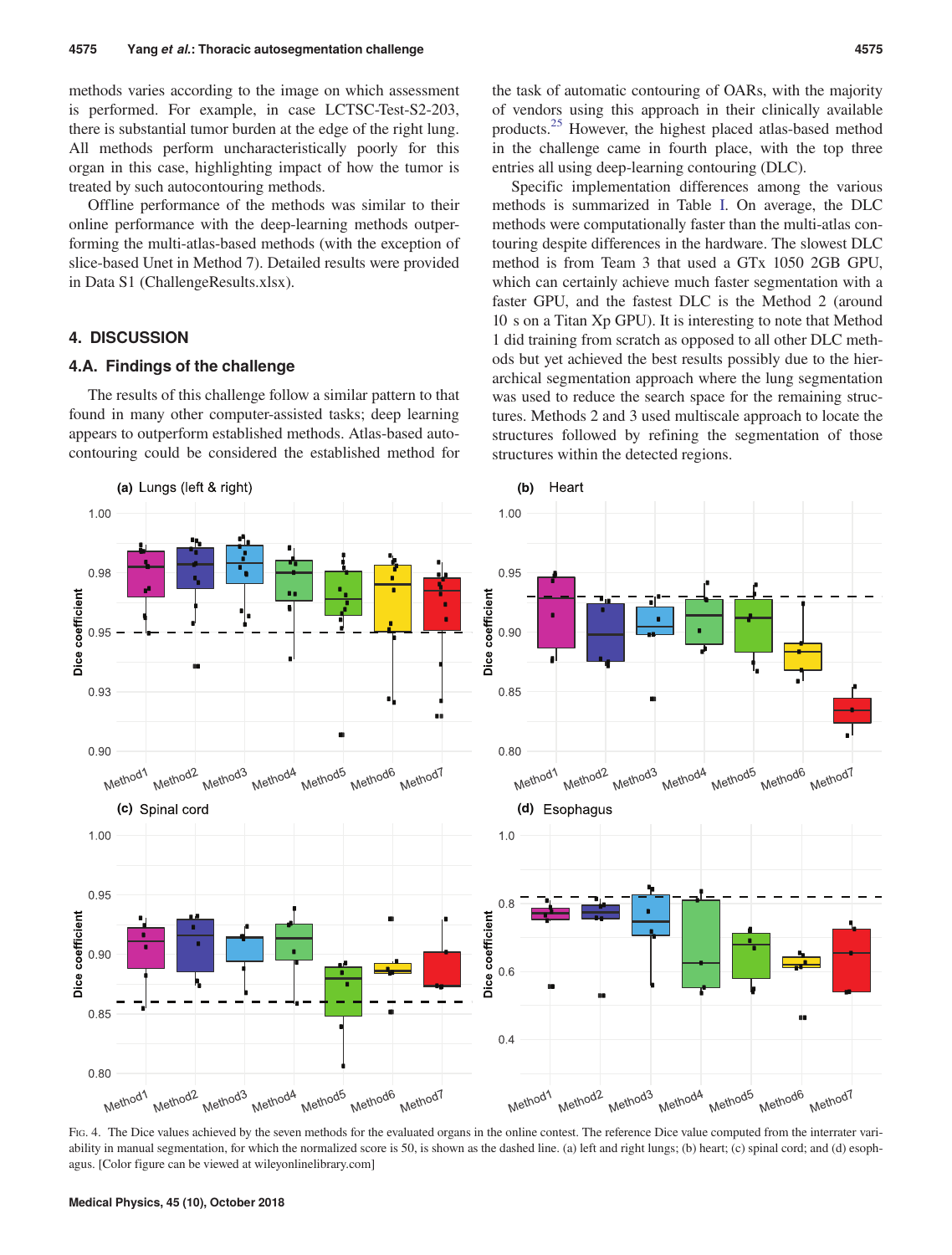<span id="page-8-0"></span>methods varies according to the image on which assessment is performed. For example, in case LCTSC-Test-S2-203, there is substantial tumor burden at the edge of the right lung. All methods perform uncharacteristically poorly for this organ in this case, highlighting impact of how the tumor is treated by such autocontouring methods.

Offline performance of the methods was similar to their online performance with the deep-learning methods outperforming the multi-atlas-based methods (with the exception of slice-based Unet in Method 7). Detailed results were provided in Data S1 (ChallengeResults.xlsx).

## 4. DISCUSSION

1.00

0.98

 $0.93$ 

 $0.90$ 

1.00

0.95

0.90

Method1

Dice coefficient  $0.95$ 

#### 4.A. Findings of the challenge

ł i. ÷ ś  $\overline{a}$ j

The results of this challenge follow a similar pattern to that found in many other computer-assisted tasks; deep learning appears to outperform established methods. Atlas-based autocontouring could be considered the established method for

I

Method<sup>3</sup>

Method<sub>2</sub>

í í í

Į. J,

ł

Method<sub>4</sub>

ī

ł

the task of automatic contouring of OARs, with the majority of vendors using this approach in their clinically available products.[25](#page-14-0) However, the highest placed atlas-based method in the challenge came in fourth place, with the top three entries all using deep-learning contouring (DLC).

Specific implementation differences among the various methods is summarized in Table [I](#page-5-0). On average, the DLC methods were computationally faster than the multi-atlas contouring despite differences in the hardware. The slowest DLC method is from Team 3 that used a GTx 1050 2GB GPU, which can certainly achieve much faster segmentation with a faster GPU, and the fastest DLC is the Method 2 (around 10 s on a Titan Xp GPU). It is interesting to note that Method 1 did training from scratch as opposed to all other DLC methods but yet achieved the best results possibly due to the hierarchical segmentation approach where the lung segmentation was used to reduce the search space for the remaining structures. Methods 2 and 3 used multiscale approach to locate the structures followed by refining the segmentation of those structures within the detected regions.

> ś f L

Method6

Method<sub>7</sub>

ı

ź J

Ξ ī

í

Method<sub>5</sub>

ı

L Ļ

> į, ۲



J

the contract of the contract of

Method<sub>7</sub>

í

ł,

٦  $\overline{\phantom{a}}$ 

l ł

1.00

 $0.80$ 

 $1.0$ 

 $0.8$ 

Method<sup>1</sup>

Heart

f

í f ŗ ٠

Method<sub>2</sub>

۲

ŧ

▘ í

Methoda

J Ξ f

ì,

Method<sup>3</sup>

í L

i,

L

l.

(c) Spinal cord **(c)** Spinal cord

Method6

Method5

J ł — I ÷ ŧ

**(a)** Lungs (left & right) **(b) (b)**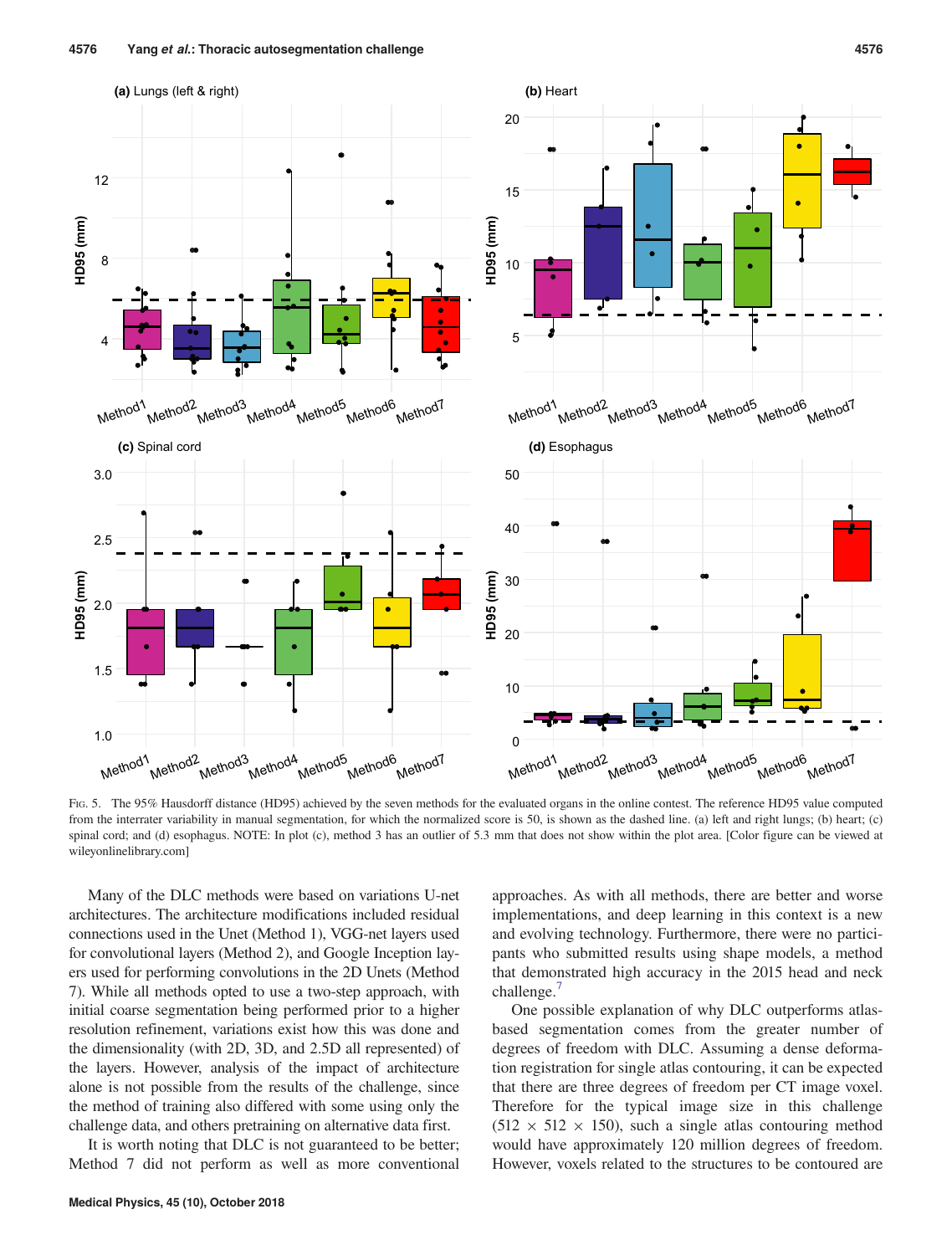

FIG. 5. The 95% Hausdorff distance (HD95) achieved by the seven methods for the evaluated organs in the online contest. The reference HD95 value computed from the interrater variability in manual segmentation, for which the normalized score is 50, is shown as the dashed line. (a) left and right lungs; (b) heart; (c) spinal cord; and (d) esophagus. NOTE: In plot (c), method 3 has an outlier of 5.3 mm that does not show within the plot area. [Color figure can be viewed at [wileyonlinelibrary.com\]](www.wileyonlinelibrary.com)

Many of the DLC methods were based on variations U-net architectures. The architecture modifications included residual connections used in the Unet (Method 1), VGG-net layers used for convolutional layers (Method 2), and Google Inception layers used for performing convolutions in the 2D Unets (Method 7). While all methods opted to use a two-step approach, with initial coarse segmentation being performed prior to a higher resolution refinement, variations exist how this was done and the dimensionality (with 2D, 3D, and 2.5D all represented) of the layers. However, analysis of the impact of architecture alone is not possible from the results of the challenge, since the method of training also differed with some using only the challenge data, and others pretraining on alternative data first.

It is worth noting that DLC is not guaranteed to be better; Method 7 did not perform as well as more conventional approaches. As with all methods, there are better and worse implementations, and deep learning in this context is a new and evolving technology. Furthermore, there were no participants who submitted results using shape models, a method that demonstrated high accuracy in the 2015 head and neck challenge.<sup>[7](#page-14-0)</sup>

One possible explanation of why DLC outperforms atlasbased segmentation comes from the greater number of degrees of freedom with DLC. Assuming a dense deformation registration for single atlas contouring, it can be expected that there are three degrees of freedom per CT image voxel. Therefore for the typical image size in this challenge  $(512 \times 512 \times 150)$ , such a single atlas contouring method would have approximately 120 million degrees of freedom. However, voxels related to the structures to be contoured are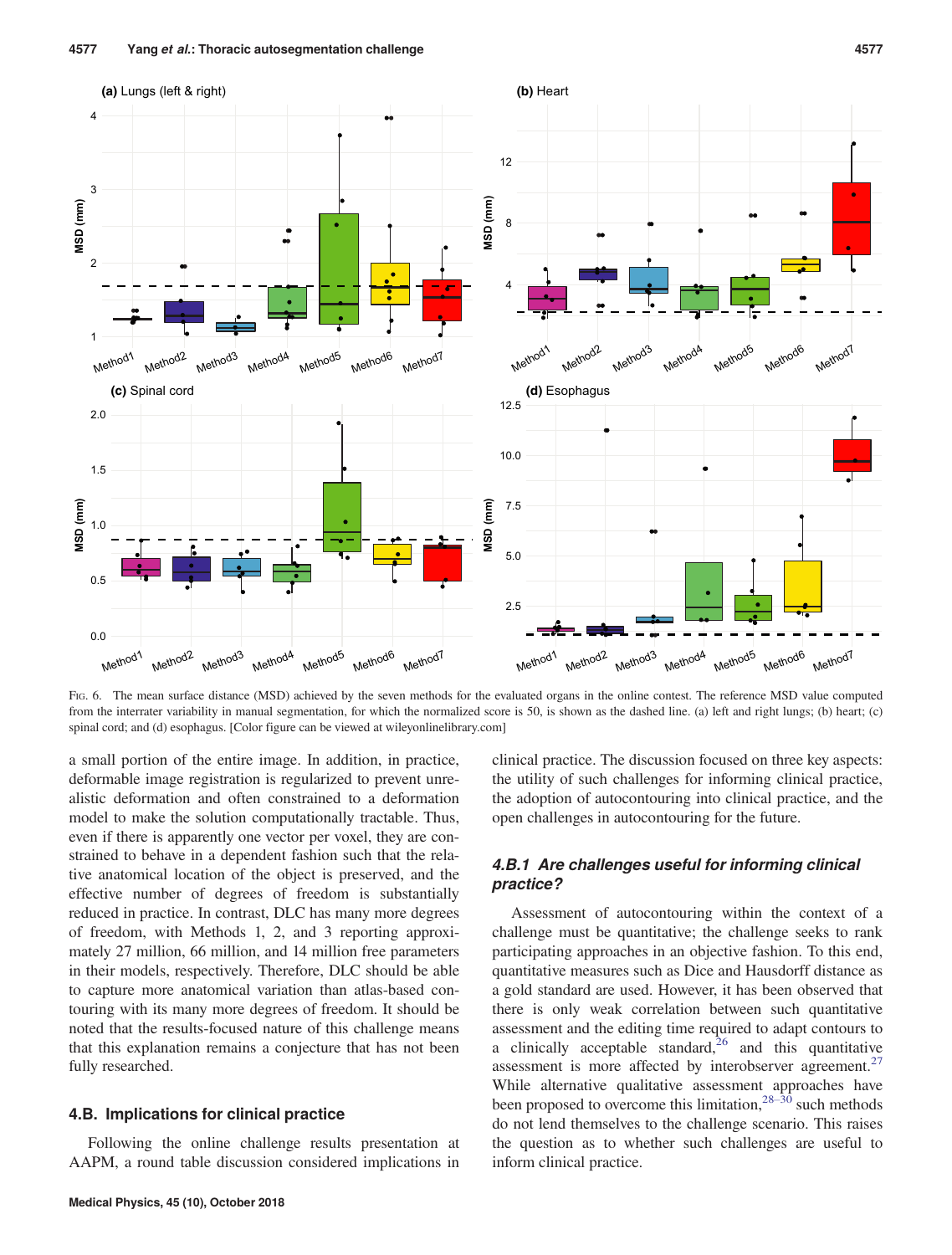

FIG. 6. The mean surface distance (MSD) achieved by the seven methods for the evaluated organs in the online contest. The reference MSD value computed from the interrater variability in manual segmentation, for which the normalized score is 50, is shown as the dashed line. (a) left and right lungs; (b) heart; (c) spinal cord; and (d) esophagus. [Color figure can be viewed at [wileyonlinelibrary.com](www.wileyonlinelibrary.com)]

a small portion of the entire image. In addition, in practice, deformable image registration is regularized to prevent unrealistic deformation and often constrained to a deformation model to make the solution computationally tractable. Thus, even if there is apparently one vector per voxel, they are constrained to behave in a dependent fashion such that the relative anatomical location of the object is preserved, and the effective number of degrees of freedom is substantially reduced in practice. In contrast, DLC has many more degrees of freedom, with Methods 1, 2, and 3 reporting approximately 27 million, 66 million, and 14 million free parameters in their models, respectively. Therefore, DLC should be able to capture more anatomical variation than atlas-based contouring with its many more degrees of freedom. It should be noted that the results-focused nature of this challenge means that this explanation remains a conjecture that has not been fully researched.

#### 4.B. Implications for clinical practice

Following the online challenge results presentation at AAPM, a round table discussion considered implications in clinical practice. The discussion focused on three key aspects: the utility of such challenges for informing clinical practice, the adoption of autocontouring into clinical practice, and the open challenges in autocontouring for the future.

## 4.B.1 Are challenges useful for informing clinical practice?

Assessment of autocontouring within the context of a challenge must be quantitative; the challenge seeks to rank participating approaches in an objective fashion. To this end, quantitative measures such as Dice and Hausdorff distance as a gold standard are used. However, it has been observed that there is only weak correlation between such quantitative assessment and the editing time required to adapt contours to a clinically acceptable standard, $2<sup>6</sup>$  and this quantitative assessment is more affected by interobserver agreement.<sup>[27](#page-14-0)</sup> While alternative qualitative assessment approaches have been proposed to overcome this limitation,  $28-\frac{36}{10}$  $28-\frac{36}{10}$  such methods do not lend themselves to the challenge scenario. This raises the question as to whether such challenges are useful to inform clinical practice.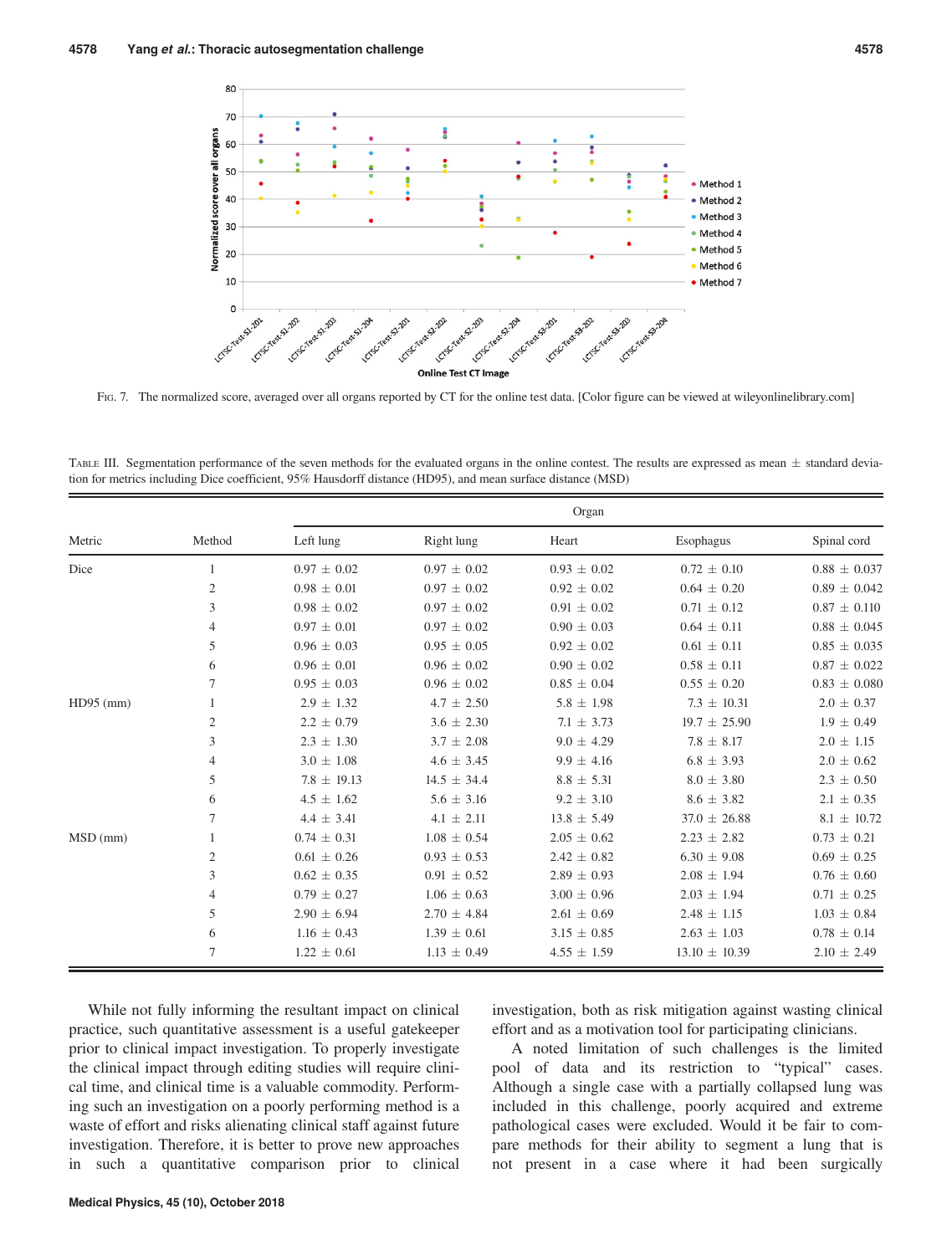<span id="page-11-0"></span>

FIG. 7. The normalized score, averaged over all organs reported by CT for the online test data. [Color figure can be viewed at [wileyonlinelibrary.com\]](www.wileyonlinelibrary.com)

|             | Method         | Organ               |                   |                   |                   |                  |
|-------------|----------------|---------------------|-------------------|-------------------|-------------------|------------------|
| Metric      |                | Left lung           | Right lung        | Heart             | Esophagus         | Spinal cord      |
| Dice        |                | $0.97 \pm 0.02$     | $0.97 \pm 0.02$   | $0.93 \pm 0.02$   | $0.72 \pm 0.10$   | $0.88 \pm 0.037$ |
|             | $\mathfrak{2}$ | $0.98 \pm 0.01$     | $0.97 \pm 0.02$   | $0.92 \pm 0.02$   | $0.64 \pm 0.20$   | $0.89 \pm 0.042$ |
|             | 3              | $0.98 \pm 0.02$     | $0.97\,\pm\,0.02$ | $0.91\,\pm\,0.02$ | $0.71 \pm 0.12$   | $0.87 \pm 0.110$ |
|             | 4              | $0.97\,\pm\,0.01$   | $0.97 \pm 0.02$   | $0.90 \pm 0.03$   | $0.64 \pm 0.11$   | $0.88 \pm 0.045$ |
|             | 5              | $0.96 \pm 0.03$     | $0.95 \pm 0.05$   | $0.92 \pm 0.02$   | $0.61 \pm 0.11$   | $0.85 \pm 0.035$ |
|             | 6              | $0.96 \pm 0.01$     | $0.96 \pm 0.02$   | $0.90 \pm 0.02$   | $0.58 \pm 0.11$   | $0.87 \pm 0.022$ |
|             | 7              | $0.95 \pm 0.03$     | $0.96\,\pm\,0.02$ | $0.85 \pm 0.04$   | $0.55 \pm 0.20$   | $0.83 \pm 0.080$ |
| $HD95$ (mm) | 1              | $2.9 \pm 1.32$      | $4.7 \pm 2.50$    | $5.8 \pm 1.98$    | $7.3 \pm 10.31$   | $2.0 \pm 0.37$   |
|             | $\mathfrak{2}$ | $2.2 \pm 0.79$      | $3.6 \pm 2.30$    | $7.1 \pm 3.73$    | $19.7 \pm 25.90$  | $1.9 \pm 0.49$   |
|             | 3              | $2.3 \pm 1.30$      | $3.7 \pm 2.08$    | $9.0 \pm 4.29$    | $7.8 \pm 8.17$    | $2.0 \pm 1.15$   |
|             | 4              | $3.0 \pm 1.08$      | $4.6 \pm 3.45$    | $9.9 \pm 4.16$    | $6.8 \pm 3.93$    | $2.0 \pm 0.62$   |
|             | 5              | $7.8 \pm 19.13$     | $14.5 \pm 34.4$   | $8.8 \pm 5.31$    | $8.0 \pm 3.80$    | $2.3 \pm 0.50$   |
|             | 6              | $4.5 \pm 1.62$      | $5.6 \pm 3.16$    | $9.2 \pm 3.10$    | $8.6\,\pm\,3.82$  | $2.1 \pm 0.35$   |
|             | 7              | $4.4 \pm 3.41$      | $4.1 \pm 2.11$    | $13.8 \pm 5.49$   | $37.0 \pm 26.88$  | $8.1 \pm 10.72$  |
| $MSD$ (mm)  |                | $0.74 \pm 0.31$     | $1.08 \pm 0.54$   | $2.05 \pm 0.62$   | $2.23 \pm 2.82$   | $0.73 \pm 0.21$  |
|             | $\overline{c}$ | $0.61 \pm 0.26$     | $0.93 \pm 0.53$   | $2.42 \pm 0.82$   | $6.30 \pm 9.08$   | $0.69 \pm 0.25$  |
|             | 3              | $0.62 \,\pm\, 0.35$ | $0.91 \pm 0.52$   | $2.89 \pm 0.93$   | $2.08 \pm 1.94$   | $0.76 \pm 0.60$  |
|             | $\overline{4}$ | $0.79 \pm 0.27$     | $1.06 \pm 0.63$   | $3.00 \pm 0.96$   | $2.03 \pm 1.94$   | $0.71 \pm 0.25$  |
|             | 5              | $2.90 \pm 6.94$     | $2.70 \pm 4.84$   | $2.61 \pm 0.69$   | $2.48 \pm 1.15$   | $1.03 \pm 0.84$  |
|             | 6              | $1.16 \pm 0.43$     | $1.39 \pm 0.61$   | $3.15 \pm 0.85$   | $2.63 \pm 1.03$   | $0.78 \pm 0.14$  |
|             | 7              | $1.22 \pm 0.61$     | $1.13 \pm 0.49$   | $4.55 \pm 1.59$   | $13.10 \pm 10.39$ | $2.10 \pm 2.49$  |

TABLE III. Segmentation performance of the seven methods for the evaluated organs in the online contest. The results are expressed as mean  $\pm$  standard deviation for metrics including Dice coefficient, 95% Hausdorff distance (HD95), and mean surface distance (MSD)

While not fully informing the resultant impact on clinical practice, such quantitative assessment is a useful gatekeeper prior to clinical impact investigation. To properly investigate the clinical impact through editing studies will require clinical time, and clinical time is a valuable commodity. Performing such an investigation on a poorly performing method is a waste of effort and risks alienating clinical staff against future investigation. Therefore, it is better to prove new approaches in such a quantitative comparison prior to clinical

investigation, both as risk mitigation against wasting clinical effort and as a motivation tool for participating clinicians.

A noted limitation of such challenges is the limited pool of data and its restriction to "typical" cases. Although a single case with a partially collapsed lung was included in this challenge, poorly acquired and extreme pathological cases were excluded. Would it be fair to compare methods for their ability to segment a lung that is not present in a case where it had been surgically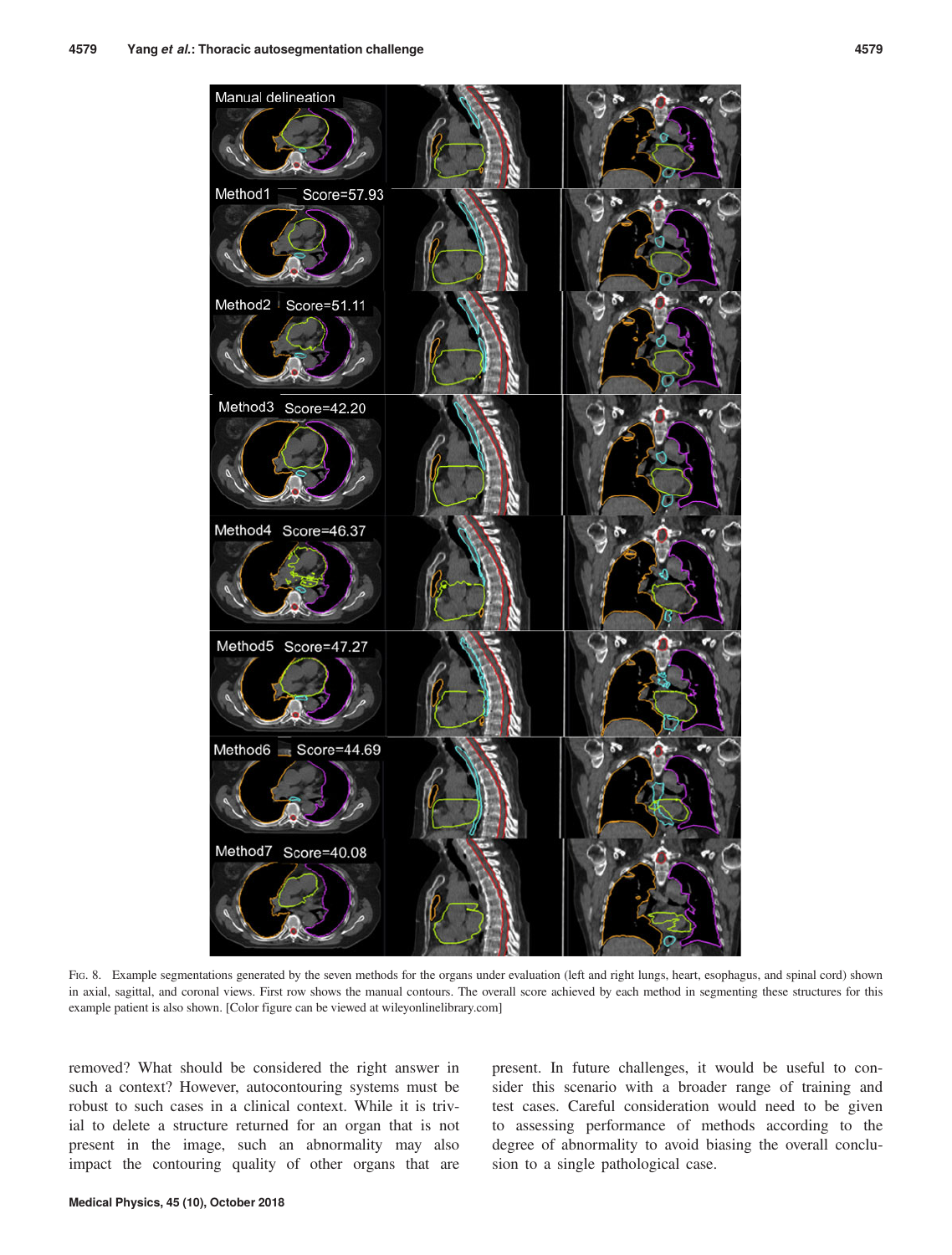<span id="page-12-0"></span>

FIG. 8. Example segmentations generated by the seven methods for the organs under evaluation (left and right lungs, heart, esophagus, and spinal cord) shown in axial, sagittal, and coronal views. First row shows the manual contours. The overall score achieved by each method in segmenting these structures for this example patient is also shown. [Color figure can be viewed at [wileyonlinelibrary.com\]](www.wileyonlinelibrary.com)

removed? What should be considered the right answer in such a context? However, autocontouring systems must be robust to such cases in a clinical context. While it is trivial to delete a structure returned for an organ that is not present in the image, such an abnormality may also impact the contouring quality of other organs that are present. In future challenges, it would be useful to consider this scenario with a broader range of training and test cases. Careful consideration would need to be given to assessing performance of methods according to the degree of abnormality to avoid biasing the overall conclusion to a single pathological case.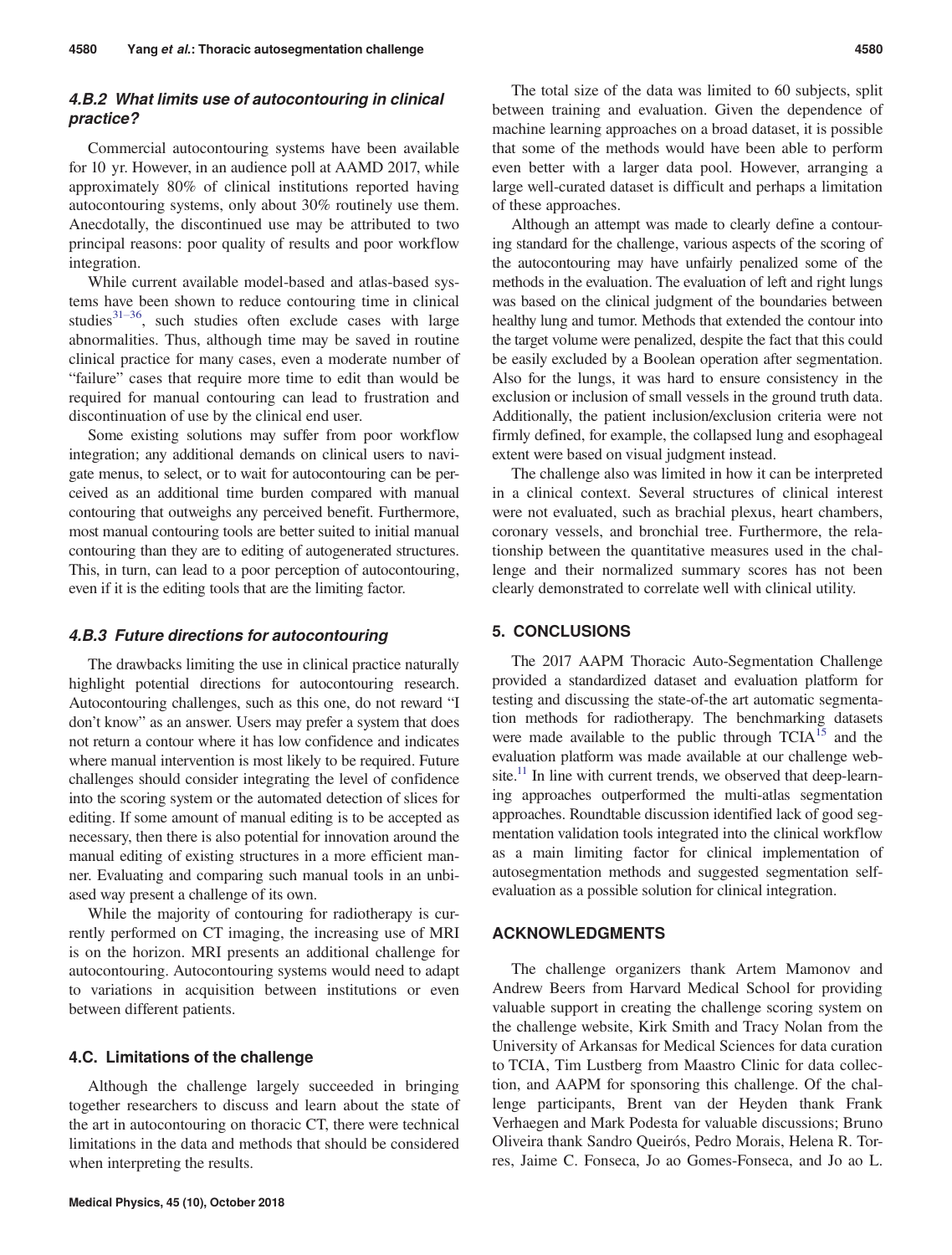## 4.B.2 What limits use of autocontouring in clinical practice?

Commercial autocontouring systems have been available for 10 yr. However, in an audience poll at AAMD 2017, while approximately 80% of clinical institutions reported having autocontouring systems, only about 30% routinely use them. Anecdotally, the discontinued use may be attributed to two principal reasons: poor quality of results and poor workflow integration.

While current available model-based and atlas-based systems have been shown to reduce contouring time in clinical studies<sup>[31](#page-14-0)–[36](#page-14-0)</sup>, such studies often exclude cases with large abnormalities. Thus, although time may be saved in routine clinical practice for many cases, even a moderate number of "failure" cases that require more time to edit than would be required for manual contouring can lead to frustration and discontinuation of use by the clinical end user.

Some existing solutions may suffer from poor workflow integration; any additional demands on clinical users to navigate menus, to select, or to wait for autocontouring can be perceived as an additional time burden compared with manual contouring that outweighs any perceived benefit. Furthermore, most manual contouring tools are better suited to initial manual contouring than they are to editing of autogenerated structures. This, in turn, can lead to a poor perception of autocontouring, even if it is the editing tools that are the limiting factor.

#### 4.B.3 Future directions for autocontouring

The drawbacks limiting the use in clinical practice naturally highlight potential directions for autocontouring research. Autocontouring challenges, such as this one, do not reward "I don't know" as an answer. Users may prefer a system that does not return a contour where it has low confidence and indicates where manual intervention is most likely to be required. Future challenges should consider integrating the level of confidence into the scoring system or the automated detection of slices for editing. If some amount of manual editing is to be accepted as necessary, then there is also potential for innovation around the manual editing of existing structures in a more efficient manner. Evaluating and comparing such manual tools in an unbiased way present a challenge of its own.

While the majority of contouring for radiotherapy is currently performed on CT imaging, the increasing use of MRI is on the horizon. MRI presents an additional challenge for autocontouring. Autocontouring systems would need to adapt to variations in acquisition between institutions or even between different patients.

#### 4.C. Limitations of the challenge

Although the challenge largely succeeded in bringing together researchers to discuss and learn about the state of the art in autocontouring on thoracic CT, there were technical limitations in the data and methods that should be considered when interpreting the results.

Although an attempt was made to clearly define a contouring standard for the challenge, various aspects of the scoring of the autocontouring may have unfairly penalized some of the methods in the evaluation. The evaluation of left and right lungs was based on the clinical judgment of the boundaries between healthy lung and tumor. Methods that extended the contour into the target volume were penalized, despite the fact that this could be easily excluded by a Boolean operation after segmentation. Also for the lungs, it was hard to ensure consistency in the exclusion or inclusion of small vessels in the ground truth data. Additionally, the patient inclusion/exclusion criteria were not firmly defined, for example, the collapsed lung and esophageal extent were based on visual judgment instead.

The challenge also was limited in how it can be interpreted in a clinical context. Several structures of clinical interest were not evaluated, such as brachial plexus, heart chambers, coronary vessels, and bronchial tree. Furthermore, the relationship between the quantitative measures used in the challenge and their normalized summary scores has not been clearly demonstrated to correlate well with clinical utility.

#### 5. CONCLUSIONS

The 2017 AAPM Thoracic Auto-Segmentation Challenge provided a standardized dataset and evaluation platform for testing and discussing the state-of-the art automatic segmentation methods for radiotherapy. The benchmarking datasets were made available to the public through  $TCIA<sup>15</sup>$  $TCIA<sup>15</sup>$  $TCIA<sup>15</sup>$  and the evaluation platform was made available at our challenge website. $^{11}$  $^{11}$  $^{11}$  In line with current trends, we observed that deep-learning approaches outperformed the multi-atlas segmentation approaches. Roundtable discussion identified lack of good segmentation validation tools integrated into the clinical workflow as a main limiting factor for clinical implementation of autosegmentation methods and suggested segmentation selfevaluation as a possible solution for clinical integration.

## ACKNOWLEDGMENTS

The challenge organizers thank Artem Mamonov and Andrew Beers from Harvard Medical School for providing valuable support in creating the challenge scoring system on the challenge website, Kirk Smith and Tracy Nolan from the University of Arkansas for Medical Sciences for data curation to TCIA, Tim Lustberg from Maastro Clinic for data collection, and AAPM for sponsoring this challenge. Of the challenge participants, Brent van der Heyden thank Frank Verhaegen and Mark Podesta for valuable discussions; Bruno Oliveira thank Sandro Queirós, Pedro Morais, Helena R. Torres, Jaime C. Fonseca, Jo ao Gomes-Fonseca, and Jo ao L.